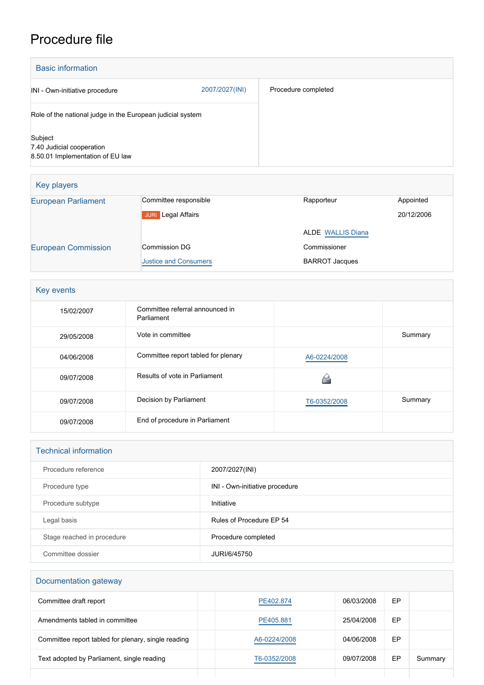## Procedure file

| <b>Basic information</b>                                                 |                |                     |
|--------------------------------------------------------------------------|----------------|---------------------|
| INI - Own-initiative procedure                                           | 2007/2027(INI) | Procedure completed |
| Role of the national judge in the European judicial system               |                |                     |
| Subject<br>7.40 Judicial cooperation<br>8.50.01 Implementation of EU law |                |                     |

| Key players                |                              |                          |            |
|----------------------------|------------------------------|--------------------------|------------|
| <b>European Parliament</b> | Committee responsible        | Rapporteur               | Appointed  |
|                            | Legal Affairs<br><b>JURI</b> |                          | 20/12/2006 |
|                            |                              | <b>ALDE</b> WALLIS Diana |            |
| <b>European Commission</b> | Commission DG                | Commissioner             |            |
|                            | <b>Justice and Consumers</b> | <b>BARROT Jacques</b>    |            |

| Key events |                                               |              |         |
|------------|-----------------------------------------------|--------------|---------|
| 15/02/2007 | Committee referral announced in<br>Parliament |              |         |
| 29/05/2008 | Vote in committee                             |              | Summary |
| 04/06/2008 | Committee report tabled for plenary           | A6-0224/2008 |         |
| 09/07/2008 | Results of vote in Parliament                 |              |         |
| 09/07/2008 | Decision by Parliament                        | T6-0352/2008 | Summary |
| 09/07/2008 | End of procedure in Parliament                |              |         |

| <b>Technical information</b> |                                |  |
|------------------------------|--------------------------------|--|
| Procedure reference          | 2007/2027(INI)                 |  |
| Procedure type               | INI - Own-initiative procedure |  |
| Procedure subtype            | Initiative                     |  |
| Legal basis                  | Rules of Procedure EP 54       |  |
| Stage reached in procedure   | Procedure completed            |  |
| Committee dossier            | JURI/6/45750                   |  |

## Documentation gateway

| Committee draft report                              | PE402.874    | 06/03/2008 | EP |         |
|-----------------------------------------------------|--------------|------------|----|---------|
| Amendments tabled in committee                      | PE405.881    | 25/04/2008 | EP |         |
| Committee report tabled for plenary, single reading | A6-0224/2008 | 04/06/2008 | EP |         |
| Text adopted by Parliament, single reading          | T6-0352/2008 | 09/07/2008 | EP | Summary |
|                                                     |              |            |    |         |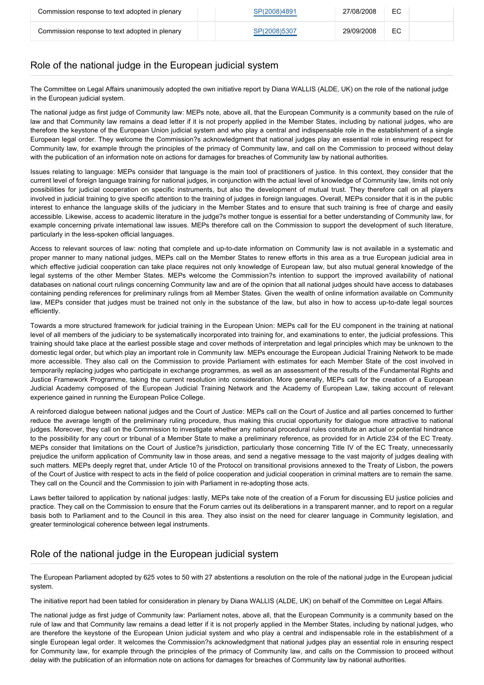| Commission response to text adopted in plenary | SP(2008)4891 | 27/08/2008 | EC |  |
|------------------------------------------------|--------------|------------|----|--|
| Commission response to text adopted in plenary | SP(2008)5307 | 29/09/2008 | EC |  |

## Role of the national judge in the European judicial system

The Committee on Legal Affairs unanimously adopted the own initiative report by Diana WALLIS (ALDE, UK) on the role of the national judge in the European judicial system.

The national judge as first judge of Community law: MEPs note, above all, that the European Community is a community based on the rule of law and that Community law remains a dead letter if it is not properly applied in the Member States, including by national judges, who are therefore the keystone of the European Union judicial system and who play a central and indispensable role in the establishment of a single European legal order. They welcome the Commission?s acknowledgment that national judges play an essential role in ensuring respect for Community law, for example through the principles of the primacy of Community law, and call on the Commission to proceed without delay with the publication of an information note on actions for damages for breaches of Community law by national authorities.

Issues relating to language: MEPs consider that language is the main tool of practitioners of justice. In this context, they consider that the current level of foreign language training for national judges, in conjunction with the actual level of knowledge of Community law, limits not only possibilities for judicial cooperation on specific instruments, but also the development of mutual trust. They therefore call on all players involved in judicial training to give specific attention to the training of judges in foreign languages. Overall, MEPs consider that it is in the public interest to enhance the language skills of the judiciary in the Member States and to ensure that such training is free of charge and easily accessible. Likewise, access to academic literature in the judge?s mother tongue is essential for a better understanding of Community law, for example concerning private international law issues. MEPs therefore call on the Commission to support the development of such literature, particularly in the less-spoken official languages.

Access to relevant sources of law: noting that complete and up-to-date information on Community law is not available in a systematic and proper manner to many national judges, MEPs call on the Member States to renew efforts in this area as a true European judicial area in which effective judicial cooperation can take place requires not only knowledge of European law, but also mutual general knowledge of the legal systems of the other Member States. MEPs welcome the Commission?s intention to support the improved availability of national databases on national court rulings concerning Community law and are of the opinion that all national judges should have access to databases containing pending references for preliminary rulings from all Member States. Given the wealth of online information available on Community law, MEPs consider that judges must be trained not only in the substance of the law, but also in how to access up-to-date legal sources efficiently.

Towards a more structured framework for judicial training in the European Union: MEPs call for the EU component in the training at national level of all members of the judiciary to be systematically incorporated into training for, and examinations to enter, the judicial professions. This training should take place at the earliest possible stage and cover methods of interpretation and legal principles which may be unknown to the domestic legal order, but which play an important role in Community law. MEPs encourage the European Judicial Training Network to be made more accessible. They also call on the Commission to provide Parliament with estimates for each Member State of the cost involved in temporarily replacing judges who participate in exchange programmes, as well as an assessment of the results of the Fundamental Rights and Justice Framework Programme, taking the current resolution into consideration. More generally, MEPs call for the creation of a European Judicial Academy composed of the European Judicial Training Network and the Academy of European Law, taking account of relevant experience gained in running the European Police College.

A reinforced dialogue between national judges and the Court of Justice: MEPs call on the Court of Justice and all parties concerned to further reduce the average length of the preliminary ruling procedure, thus making this crucial opportunity for dialogue more attractive to national judges. Moreover, they call on the Commission to investigate whether any national procedural rules constitute an actual or potential hindrance to the possibility for any court or tribunal of a Member State to make a preliminary reference, as provided for in Article 234 of the EC Treaty. MEPs consider that limitations on the Court of Justice?s jurisdiction, particularly those concerning Title IV of the EC Treaty, unnecessarily prejudice the uniform application of Community law in those areas, and send a negative message to the vast majority of judges dealing with such matters. MEPs deeply regret that, under Article 10 of the Protocol on transitional provisions annexed to the Treaty of Lisbon, the powers of the Court of Justice with respect to acts in the field of police cooperation and judicial cooperation in criminal matters are to remain the same. They call on the Council and the Commission to join with Parliament in re-adopting those acts.

Laws better tailored to application by national judges: lastly, MEPs take note of the creation of a Forum for discussing EU justice policies and practice. They call on the Commission to ensure that the Forum carries out its deliberations in a transparent manner, and to report on a regular basis both to Parliament and to the Council in this area. They also insist on the need for clearer language in Community legislation, and greater terminological coherence between legal instruments.

## Role of the national judge in the European judicial system

The European Parliament adopted by 625 votes to 50 with 27 abstentions a resolution on the role of the national judge in the European judicial system.

The initiative report had been tabled for consideration in plenary by Diana WALLIS (ALDE, UK) on behalf of the Committee on Legal Affairs.

The national judge as first judge of Community law: Parliament notes, above all, that the European Community is a community based on the rule of law and that Community law remains a dead letter if it is not properly applied in the Member States, including by national judges, who are therefore the keystone of the European Union judicial system and who play a central and indispensable role in the establishment of a single European legal order. It welcomes the Commission?s acknowledgment that national judges play an essential role in ensuring respect for Community law, for example through the principles of the primacy of Community law, and calls on the Commission to proceed without delay with the publication of an information note on actions for damages for breaches of Community law by national authorities.